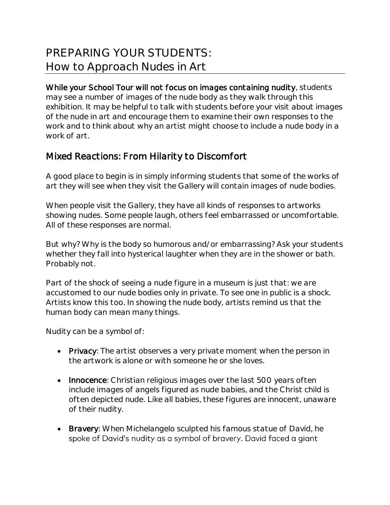## PREPARING YOUR STUDENTS: How to Approach Nudes in Art

While your School Tour will not focus on images containing nudity, students may see a number of images of the nude body as they walk through this exhibition. It may be helpful to talk with students before your visit about images of the nude in art and encourage them to examine their own responses to the work and to think about why an artist might choose to include a nude body in a work of art.

## Mixed Reactions: From Hilarity to Discomfort

A good place to begin is in simply informing students that some of the works of art they will see when they visit the Gallery will contain images of nude bodies.

When people visit the Gallery, they have all kinds of responses to artworks showing nudes. Some people laugh, others feel embarrassed or uncomfortable. All of these responses are normal.

But why? Why is the body so humorous and/or embarrassing? Ask your students whether they fall into hysterical laughter when they are in the shower or bath. Probably not.

Part of the shock of seeing a nude figure in a museum is just that: we are accustomed to our nude bodies only in private. To see one in public is a shock. Artists know this too. In showing the nude body, artists remind us that the human body can mean many things.

Nudity can be a symbol of:

- Privacy: The artist observes a very private moment when the person in the artwork is alone or with someone he or she loves.
- Innocence: Christian religious images over the last 500 years often include images of angels figured as nude babies, and the Christ child is often depicted nude. Like all babies, these figures are innocent, unaware of their nudity.
- Bravery: When Michelangelo sculpted his famous statue of David, he spoke of David's nudity as a symbol of bravery. David faced a giant